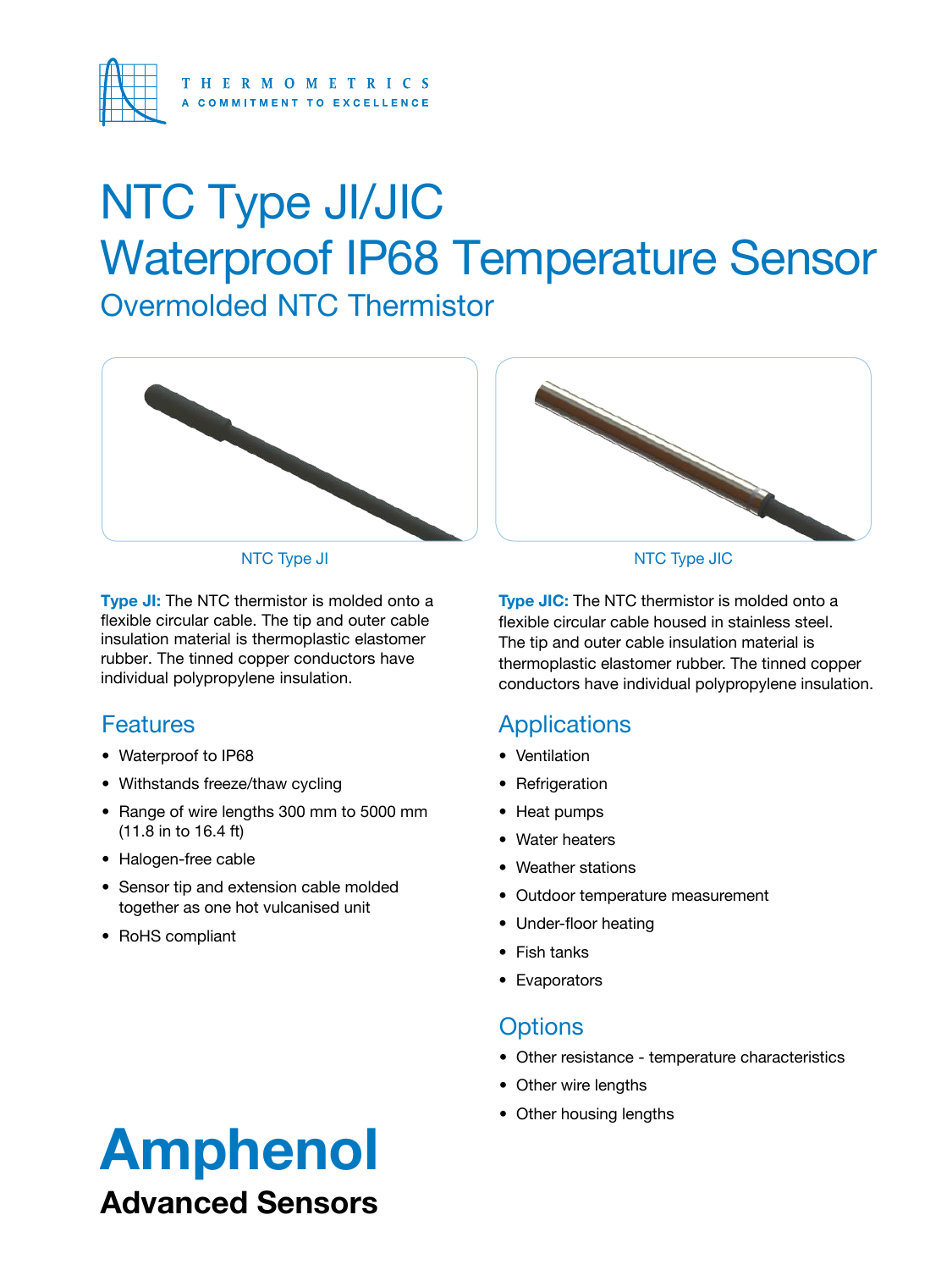

## Overmolded NTC Thermistor NTC Type JI/JIC Waterproof IP68 Temperature Sensor



**Type JI:** The NTC thermistor is molded onto a flexible circular cable. The tip and outer cable insulation material is thermoplastic elastomer rubber. The tinned copper conductors have individual polypropylene insulation.

### **Features**

- Waterproof to IP68
- Withstands freeze/thaw cycling
- Range of wire lengths 300 mm to 5000 mm (11.8 in to 16.4 ft)
- Halogen-free cable
- Sensor tip and extension cable molded together as one hot vulcanised unit
- RoHS compliant



#### NTC Type JI NTC Type JIC

**Type JIC:** The NTC thermistor is molded onto a flexible circular cable housed in stainless steel. The tip and outer cable insulation material is thermoplastic elastomer rubber. The tinned copper conductors have individual polypropylene insulation.

### **Applications**

- Ventilation
- Refrigeration
- Heat pumps
- Water heaters
- Weather stations
- Outdoor temperature measurement
- Under-floor heating
- Fish tanks
- Evaporators

### **Options**

- Other resistance temperature characteristics
- Other wire lengths
- Other housing lengths

### Amphenol Advanced Sensors